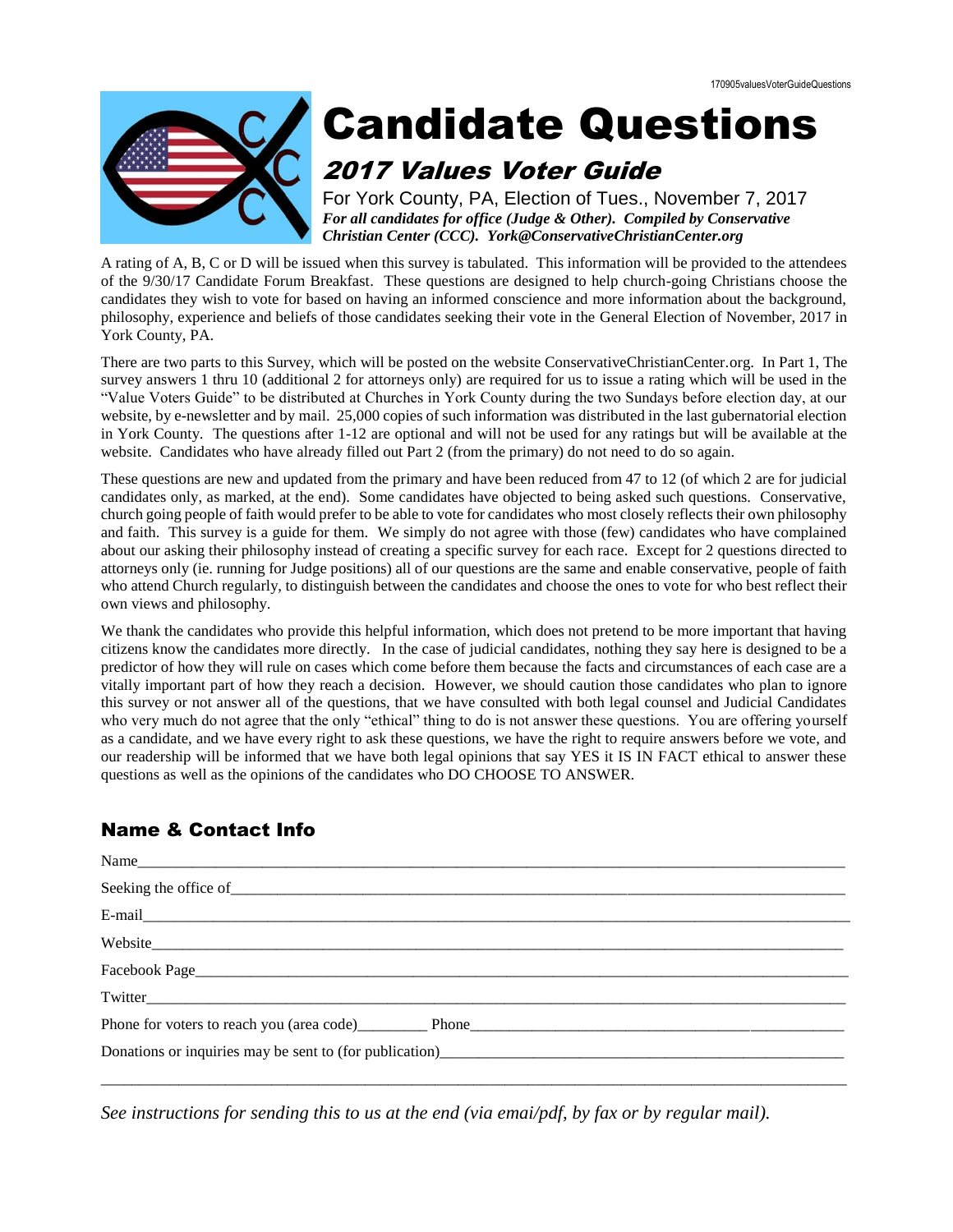

# Candidate Questions

# 2017 Values Voter Guide

For York County, PA, Election of Tues., November 7, 2017 *For all candidates for office (Judge & Other). Compiled by Conservative Christian Center (CCC). York@ConservativeChristianCenter.org*

A rating of A, B, C or D will be issued when this survey is tabulated. This information will be provided to the attendees of the 9/30/17 Candidate Forum Breakfast. These questions are designed to help church-going Christians choose the candidates they wish to vote for based on having an informed conscience and more information about the background, philosophy, experience and beliefs of those candidates seeking their vote in the General Election of November, 2017 in York County, PA.

There are two parts to this Survey, which will be posted on the website ConservativeChristianCenter.org. In Part 1, The survey answers 1 thru 10 (additional 2 for attorneys only) are required for us to issue a rating which will be used in the "Value Voters Guide" to be distributed at Churches in York County during the two Sundays before election day, at our website, by e-newsletter and by mail. 25,000 copies of such information was distributed in the last gubernatorial election in York County. The questions after 1-12 are optional and will not be used for any ratings but will be available at the website. Candidates who have already filled out Part 2 (from the primary) do not need to do so again.

These questions are new and updated from the primary and have been reduced from 47 to 12 (of which 2 are for judicial candidates only, as marked, at the end). Some candidates have objected to being asked such questions. Conservative, church going people of faith would prefer to be able to vote for candidates who most closely reflects their own philosophy and faith. This survey is a guide for them. We simply do not agree with those (few) candidates who have complained about our asking their philosophy instead of creating a specific survey for each race. Except for 2 questions directed to attorneys only (ie. running for Judge positions) all of our questions are the same and enable conservative, people of faith who attend Church regularly, to distinguish between the candidates and choose the ones to vote for who best reflect their own views and philosophy.

We thank the candidates who provide this helpful information, which does not pretend to be more important that having citizens know the candidates more directly. In the case of judicial candidates, nothing they say here is designed to be a predictor of how they will rule on cases which come before them because the facts and circumstances of each case are a vitally important part of how they reach a decision. However, we should caution those candidates who plan to ignore this survey or not answer all of the questions, that we have consulted with both legal counsel and Judicial Candidates who very much do not agree that the only "ethical" thing to do is not answer these questions. You are offering yourself as a candidate, and we have every right to ask these questions, we have the right to require answers before we vote, and our readership will be informed that we have both legal opinions that say YES it IS IN FACT ethical to answer these questions as well as the opinions of the candidates who DO CHOOSE TO ANSWER.

## Name & Contact Info

| Phone for voters to reach you (area code) Phone Phone Phone Phone Phone Phone Phone Phone Phone Phone Phone Phone Phone Phone Phone Phone Phone Phone Phone Phone Phone Phone Phone Phone Phone Phone Phone Phone Phone Phone          |  |  |  |
|----------------------------------------------------------------------------------------------------------------------------------------------------------------------------------------------------------------------------------------|--|--|--|
| Donations or inquiries may be sent to (for publication)<br><u>Letter and the contract of the contract of the contract of the contract of the contract of the contract of the contract of the contract of the contract of the contr</u> |  |  |  |
|                                                                                                                                                                                                                                        |  |  |  |

*See instructions for sending this to us at the end (via emai/pdf, by fax or by regular mail).*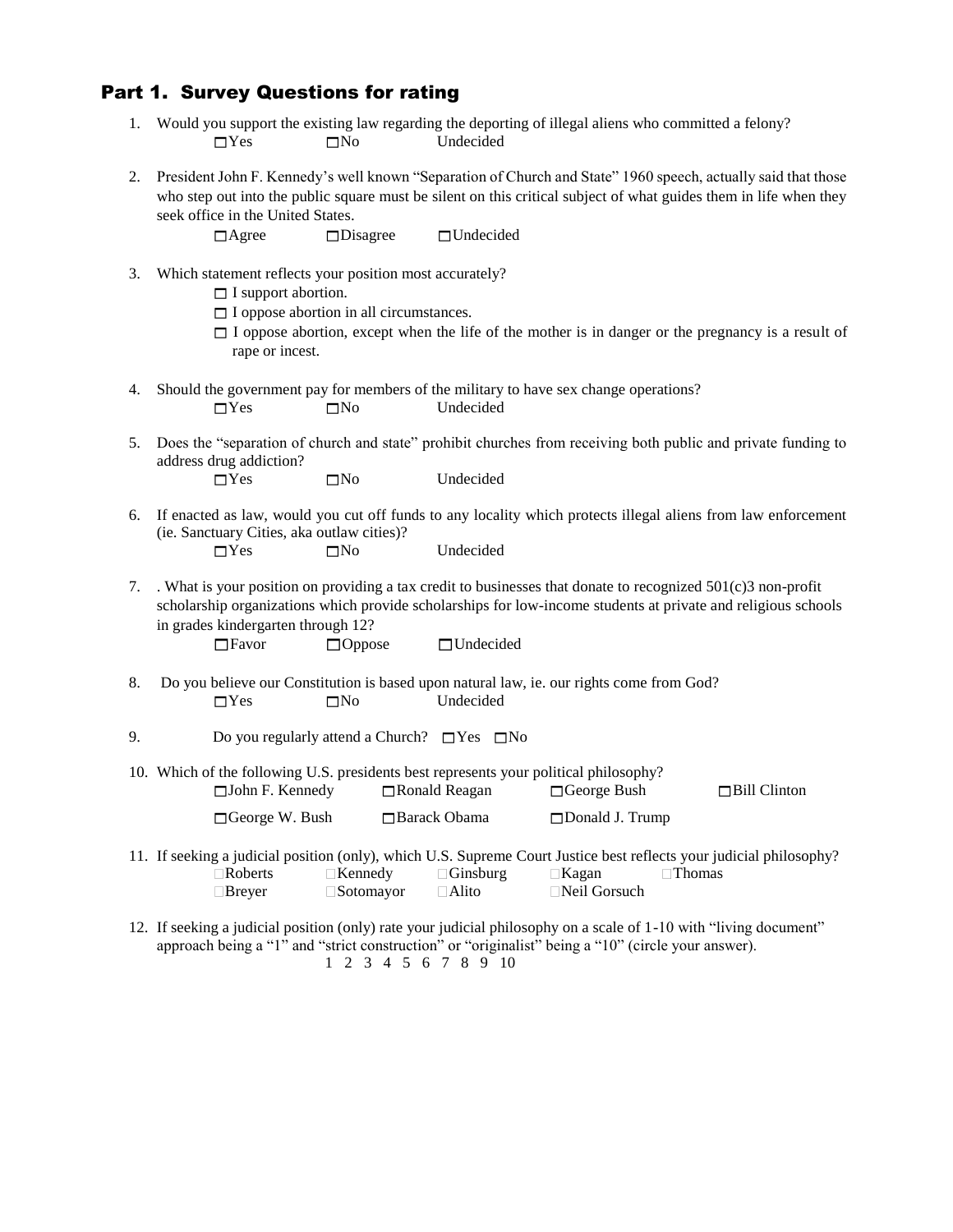#### Part 1. Survey Questions for rating

|            |           | Would you support the existing law regarding the deporting of illegal aliens who committed a felony? |
|------------|-----------|------------------------------------------------------------------------------------------------------|
| $\Box$ Yes | $\neg$ No | Undecided                                                                                            |

2. President John F. Kennedy's well known "Separation of Church and State" 1960 speech, actually said that those who step out into the public square must be silent on this critical subject of what guides them in life when they seek office in the United States.

 $\Box$ Agree  $\Box$ Disagree  $\Box$ Undecided

3. Which statement reflects your position most accurately?

 $\Box$  I support abortion.

- $\Box$  I oppose abortion in all circumstances.
- $\Box$  I oppose abortion, except when the life of the mother is in danger or the pregnancy is a result of rape or incest.
- 4. Should the government pay for members of the military to have sex change operations?  $\Box$ Yes  $\Box$ No Undecided
- 5. Does the "separation of church and state" prohibit churches from receiving both public and private funding to address drug addiction?  $\Box$ Yes  $\Box$ No Undecided
- 6. If enacted as law, would you cut off funds to any locality which protects illegal aliens from law enforcement (ie. Sanctuary Cities, aka outlaw cities)?  $\Box$ Yes  $\Box$ No Undecided
- 7. . What is your position on providing a tax credit to businesses that donate to recognized 501(c)3 non-profit scholarship organizations which provide scholarships for low-income students at private and religious schools in grades kindergarten through 12?

□Favor □ Oppose □ Undecided

- 8. Do you believe our Constitution is based upon natural law, ie. our rights come from God?  $\Box$ Yes  $\Box$ No Undecided
- 9. Do you regularly attend a Church?  $\Box$  Yes  $\Box$  No
- 10. Which of the following U.S. presidents best represents your political philosophy?  $\Box$ John F. Kennedy  $\Box$ Ronald Reagan  $\Box$ George Bush  $\Box$ Bill Clinton □ George W. Bush □ Barack Obama □ Donald J. Trump
- 11. If seeking a judicial position (only), which U.S. Supreme Court Justice best reflects your judicial philosophy? Roberts Kennedy Ginsburg Kagan Thomas Breyer Sotomayor Alito Neil Gorsuch
- 12. If seeking a judicial position (only) rate your judicial philosophy on a scale of 1-10 with "living document" approach being a "1" and "strict construction" or "originalist" being a "10" (circle your answer). 1 2 3 4 5 6 7 8 9 10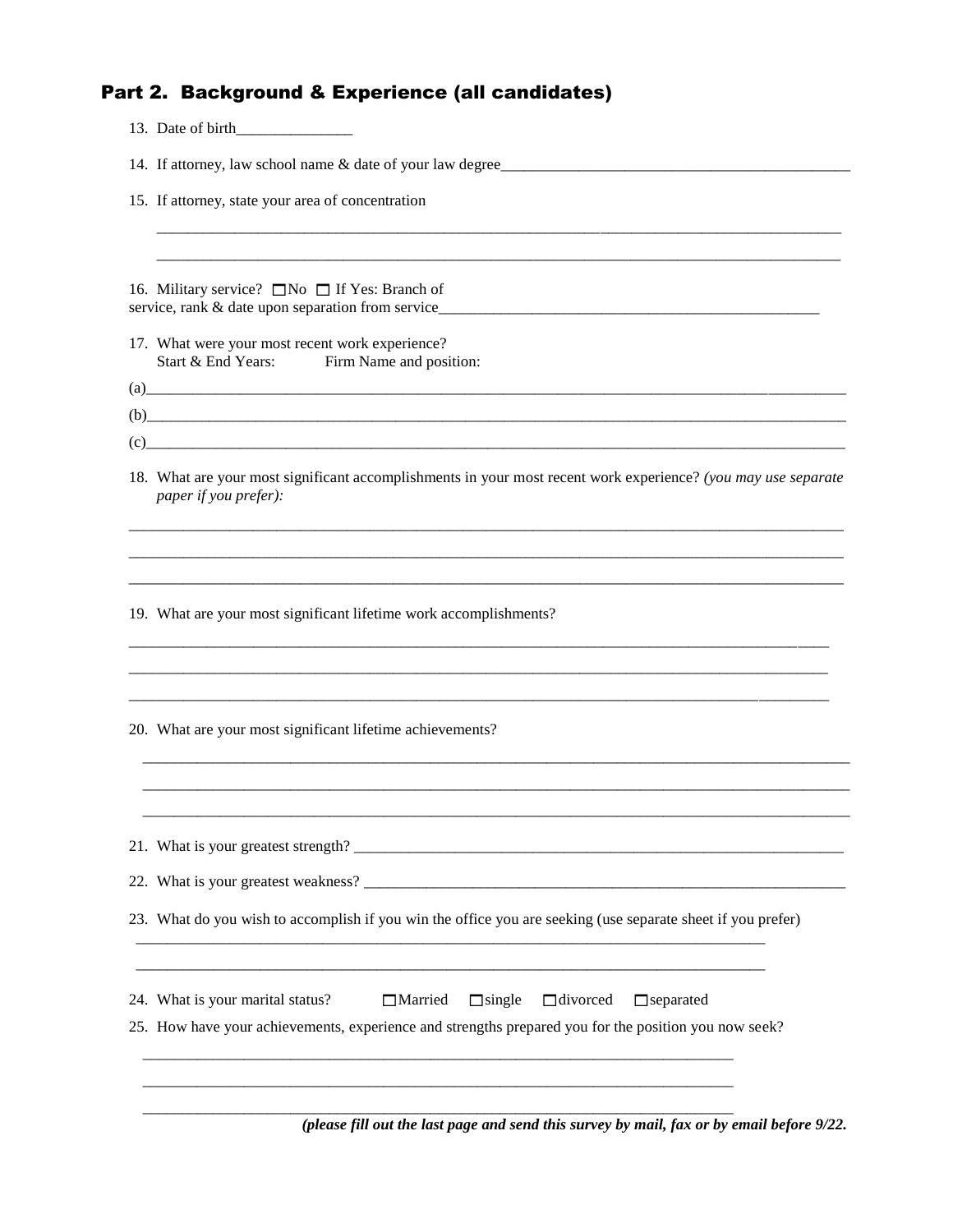## Part 2. Background & Experience (all candidates)

| 13. Date of birth                                                                                                                                                                                                                                                                                                                                                                                                                                                                                              |  |  |  |  |
|----------------------------------------------------------------------------------------------------------------------------------------------------------------------------------------------------------------------------------------------------------------------------------------------------------------------------------------------------------------------------------------------------------------------------------------------------------------------------------------------------------------|--|--|--|--|
| 14. If attorney, law school name & date of your law degree                                                                                                                                                                                                                                                                                                                                                                                                                                                     |  |  |  |  |
| 15. If attorney, state your area of concentration                                                                                                                                                                                                                                                                                                                                                                                                                                                              |  |  |  |  |
|                                                                                                                                                                                                                                                                                                                                                                                                                                                                                                                |  |  |  |  |
| 16. Military service? □ No □ If Yes: Branch of<br>service, rank & date upon separation from service                                                                                                                                                                                                                                                                                                                                                                                                            |  |  |  |  |
| 17. What were your most recent work experience?<br>Start & End Years:<br>Firm Name and position:                                                                                                                                                                                                                                                                                                                                                                                                               |  |  |  |  |
|                                                                                                                                                                                                                                                                                                                                                                                                                                                                                                                |  |  |  |  |
| $(b)$ and $(c)$ and $(d)$ and $(d)$ and $(d)$ and $(d)$ and $(d)$ and $(d)$ and $(d)$ and $(d)$ and $(d)$ and $(d)$ and $(d)$ and $(d)$ and $(d)$ and $(d)$ and $(d)$ and $(d)$ and $(d)$ and $(d)$ and $(d)$ and $(d)$ and $(d)$ and $(d)$ and $(d)$<br>$(c)$ and $(c)$ and $(c)$ and $(c)$ and $(c)$ and $(c)$ and $(c)$ and $(c)$ and $(c)$ and $(c)$ and $(c)$ and $(c)$ and $(c)$ and $(c)$ and $(c)$ and $(c)$ and $(c)$ and $(c)$ and $(c)$ and $(c)$ and $(c)$ and $(c)$ and $(c)$ and $(c)$ and $(c)$ |  |  |  |  |
| 18. What are your most significant accomplishments in your most recent work experience? (you may use separate<br>paper if you prefer):                                                                                                                                                                                                                                                                                                                                                                         |  |  |  |  |
|                                                                                                                                                                                                                                                                                                                                                                                                                                                                                                                |  |  |  |  |
| 19. What are your most significant lifetime work accomplishments?                                                                                                                                                                                                                                                                                                                                                                                                                                              |  |  |  |  |
|                                                                                                                                                                                                                                                                                                                                                                                                                                                                                                                |  |  |  |  |
| 20. What are your most significant lifetime achievements?                                                                                                                                                                                                                                                                                                                                                                                                                                                      |  |  |  |  |
|                                                                                                                                                                                                                                                                                                                                                                                                                                                                                                                |  |  |  |  |
|                                                                                                                                                                                                                                                                                                                                                                                                                                                                                                                |  |  |  |  |
|                                                                                                                                                                                                                                                                                                                                                                                                                                                                                                                |  |  |  |  |
| 23. What do you wish to accomplish if you win the office you are seeking (use separate sheet if you prefer)                                                                                                                                                                                                                                                                                                                                                                                                    |  |  |  |  |
| $\Box$ divorced<br>24. What is your marital status?<br><b>Married</b><br>$\Box$ single<br>$\Box$ separated                                                                                                                                                                                                                                                                                                                                                                                                     |  |  |  |  |
| 25. How have your achievements, experience and strengths prepared you for the position you now seek?                                                                                                                                                                                                                                                                                                                                                                                                           |  |  |  |  |
|                                                                                                                                                                                                                                                                                                                                                                                                                                                                                                                |  |  |  |  |
|                                                                                                                                                                                                                                                                                                                                                                                                                                                                                                                |  |  |  |  |

*(please fill out the last page and send this survey by mail, fax or by email before 9/22.*